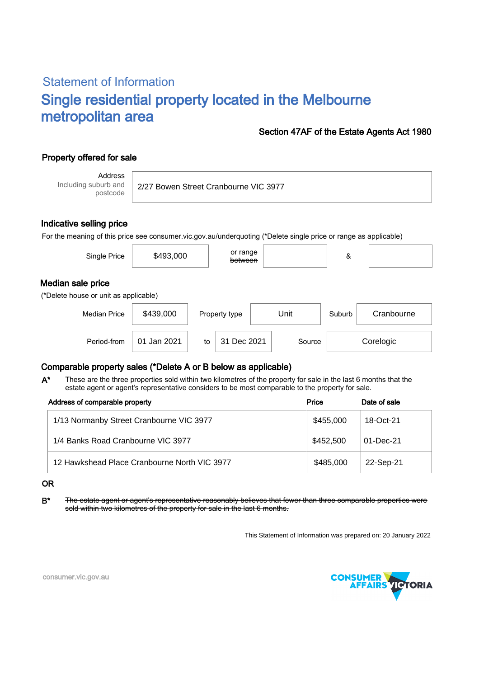# Statement of Information Single residential property located in the Melbourne metropolitan area

### Section 47AF of the Estate Agents Act 1980

## Property offered for sale

Address Including suburb and postcode

2/27 Bowen Street Cranbourne VIC 3977

### Indicative selling price

For the meaning of this price see consumer.vic.gov.au/underquoting (\*Delete single price or range as applicable)

| Single Price                                               | \$493,000 | <del>or range</del><br>between |      | &      |            |  |  |  |  |
|------------------------------------------------------------|-----------|--------------------------------|------|--------|------------|--|--|--|--|
| Median sale price<br>(*Delete house or unit as applicable) |           |                                |      |        |            |  |  |  |  |
| <b>Median Price</b>                                        | \$439,000 | Property type                  | Unit | Suburb | Cranbourne |  |  |  |  |

Period-from | 01 Jan 2021 | to | 31 Dec 2021 | Source | Corelogic

### Comparable property sales (\*Delete A or B below as applicable)

These are the three properties sold within two kilometres of the property for sale in the last 6 months that the estate agent or agent's representative considers to be most comparable to the property for sale. A\*

| Address of comparable property               | Price     | Date of sale |
|----------------------------------------------|-----------|--------------|
| 1/13 Normanby Street Cranbourne VIC 3977     | \$455,000 | 18-Oct-21    |
| 1/4 Banks Road Cranbourne VIC 3977           | \$452,500 | 01-Dec-21    |
| 12 Hawkshead Place Cranbourne North VIC 3977 | \$485,000 | 22-Sep-21    |

#### OR

B<sup>\*</sup> The estate agent or agent's representative reasonably believes that fewer than three comparable properties were sold within two kilometres of the property for sale in the last 6 months.

This Statement of Information was prepared on: 20 January 2022



consumer.vic.gov.au